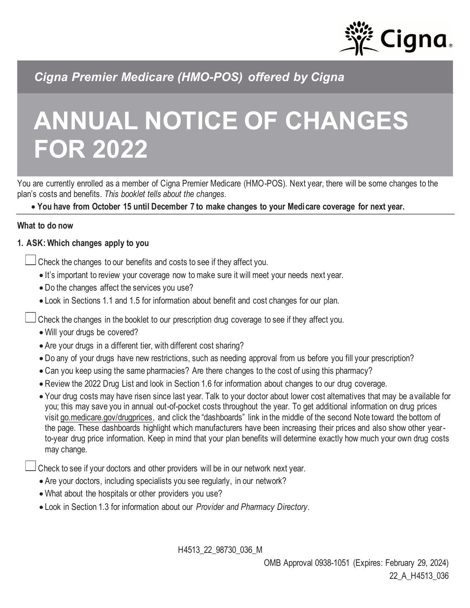

*Cigna Premier Medicare (HMO-POS) offered by Cigna*

# **ANNUAL NOTICE OF CHANGES FOR 2022**

You are currently enrolled as a member of Cigna Premier Medicare (HMO-POS). Next year, there will be some changes to the plan's costs and benefits. *This booklet tells about the changes.*

• **You have from October 15 until December 7 to make changes to your Medicare coverage for next year.**

## **What to do now**

## **1. ASK: Which changes apply to you**

Check the changes to our benefits and costs to see if they affect you.

- It's important to review your coverage now to make sure it will meet your needs next year.
- Do the changes affect the services you use?
- Look in Sections 1.1 and 1.5 for information about benefit and cost changes for our plan.

Check the changes in the booklet to our prescription drug coverage to see if they affect you.

- Will your drugs be covered?
- Are your drugs in a different tier, with different cost sharing?
- Do any of your drugs have new restrictions, such as needing approval from us before you fill your prescription?
- Can you keep using the same pharmacies? Are there changes to the cost of using this pharmacy?
- Review the 2022 Drug List and look in Section 1.6 for information about changes to our drug coverage.
- Your drug costs may have risen since last year. Talk to your doctor about lower cost alternatives that may be available for you; this may save you in annual out-of-pocket costs throughout the year. To get additional information on drug prices visit [go.medicare.gov/drugprices,](go.medicare.gov/drugprices) and click the "dashboards" link in the middle of the second Note toward the bottom of the page. These dashboards highlight which manufacturers have been increasing their prices and also show other yearto-year drug price information. Keep in mind that your plan benefits will determine exactly how much your own drug costs may change.

Check to see if your doctors and other providers will be in our network next year.

- Are your doctors, including specialists you see regularly, in our network?
- What about the hospitals or other providers you use?
- Look in Section 1.3 for information about our *Provider and Pharmacy Directory*.

H4513\_22\_98730\_036\_M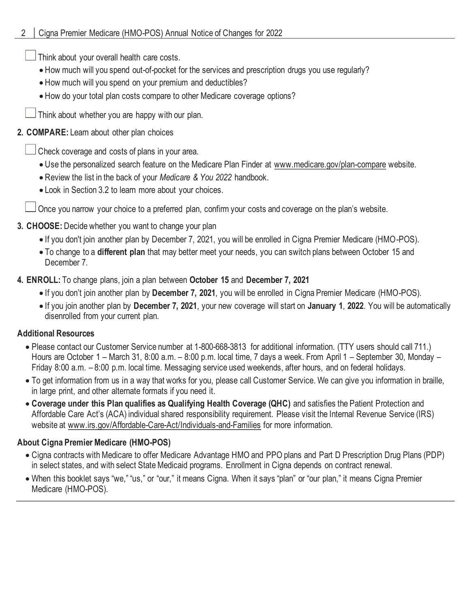Think about your overall health care costs.

- How much will you spend out-of-pocket for the services and prescription drugs you use regularly?
- How much will you spend on your premium and deductibles?
- How do your total plan costs compare to other Medicare coverage options?

Think about whether you are happy with our plan.

# **2. COMPARE:** Learn about other plan choices

Check coverage and costs of plans in your area.

- Use the personalized search feature on the Medicare Plan Finder at www.medicare.gov/plan-compare website.
- Review the list in the back of your *Medicare & You 2022* handbook.
- Look in Section 3.2 to learn more about your choices.

Once you narrow your choice to a preferred plan, confirm your costs and coverage on the plan's website.

# **3. CHOOSE:** Decide whether you want to change your plan

- If you don't join another plan by December 7, 2021, you will be enrolled in Cigna Premier Medicare (HMO-POS).
- To change to a **different plan** that may better meet your needs, you can switch plans between October 15 and December 7.

# **4. ENROLL:** To change plans, join a plan between **October 15** and **December 7, 2021**

- If you don't join another plan by **December 7, 2021**, you will be enrolled in Cigna Premier Medicare (HMO-POS).
- If you join another plan by **December 7, 2021**, your new coverage will start on **January 1**, **2022**. You will be automatically disenrolled from your current plan.

## **Additional Resources**

- Please contact our Customer Service number at 1-800-668-3813 for additional information. (TTY users should call 711.) Hours are October 1 – March 31, 8:00 a.m. – 8:00 p.m. local time, 7 days a week. From April 1 – September 30, Monday – Friday 8:00 a.m. – 8:00 p.m. local time. Messaging service used weekends, after hours, and on federal holidays.
- To get information from us in a way that works for you, please call Customer Service. We can give you information in braille, in large print, and other alternate formats if you need it.
- **Coverage under this Plan qualifies as Qualifying Health Coverage (QHC)** and satisfies the Patient Protection and Affordable Care Act's (ACA) individual shared responsibility requirement. Please visit the Internal Revenue Service (IRS) website at www.irs.gov/Affordable-Care-Act/Individuals-and-Families for more information.

# **About Cigna Premier Medicare (HMO-POS)**

- Cigna contracts with Medicare to offer Medicare Advantage HMO and PPO plans and Part D Prescription Drug Plans (PDP) in select states, and with select State Medicaid programs. Enrollment in Cigna depends on contract renewal.
- When this booklet says "we," "us," or "our," it means Cigna*.* When it says "plan" or "our plan," it means Cigna Premier Medicare (HMO-POS).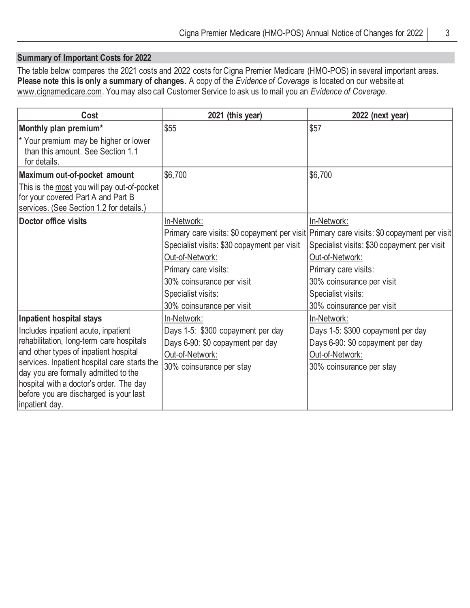## **Summary of Important Costs for 2022**

The table below compares the 2021 costs and 2022 costs for Cigna Premier Medicare (HMO-POS) in several important areas. **Please note this is only a summary of changes**. A copy of the *Evidence of Coverage* is located on our website at www.cignamedicare.com. You may also call Customer Service to ask us to mail you an *Evidence of Coverage*.

| Cost                                                                                                                          | 2021 (this year)                            | 2022 (next year)                                                                          |
|-------------------------------------------------------------------------------------------------------------------------------|---------------------------------------------|-------------------------------------------------------------------------------------------|
| Monthly plan premium*                                                                                                         | \$55                                        | \$57                                                                                      |
| * Your premium may be higher or lower<br>than this amount. See Section 1.1<br>for details.                                    |                                             |                                                                                           |
| Maximum out-of-pocket amount                                                                                                  | \$6,700                                     | \$6,700                                                                                   |
| This is the most you will pay out-of-pocket<br>for your covered Part A and Part B<br>services. (See Section 1.2 for details.) |                                             |                                                                                           |
| Doctor office visits                                                                                                          | In-Network:                                 | In-Network:                                                                               |
|                                                                                                                               |                                             | Primary care visits: \$0 copayment per visit Primary care visits: \$0 copayment per visit |
|                                                                                                                               | Specialist visits: \$30 copayment per visit | Specialist visits: \$30 copayment per visit                                               |
|                                                                                                                               | Out-of-Network:                             | Out-of-Network:                                                                           |
|                                                                                                                               | Primary care visits:                        | Primary care visits:                                                                      |
|                                                                                                                               | 30% coinsurance per visit                   | 30% coinsurance per visit                                                                 |
|                                                                                                                               | Specialist visits:                          | Specialist visits:                                                                        |
|                                                                                                                               | 30% coinsurance per visit                   | 30% coinsurance per visit                                                                 |
| Inpatient hospital stays                                                                                                      | In-Network:                                 | In-Network:                                                                               |
| Includes inpatient acute, inpatient                                                                                           | Days 1-5: \$300 copayment per day           | Days 1-5: \$300 copayment per day                                                         |
| rehabilitation, long-term care hospitals                                                                                      | Days 6-90: \$0 copayment per day            | Days 6-90: \$0 copayment per day                                                          |
| and other types of inpatient hospital                                                                                         | Out-of-Network:                             | Out-of-Network:                                                                           |
| services. Inpatient hospital care starts the                                                                                  | 30% coinsurance per stay                    | 30% coinsurance per stay                                                                  |
| day you are formally admitted to the<br>hospital with a doctor's order. The day                                               |                                             |                                                                                           |
| before you are discharged is your last                                                                                        |                                             |                                                                                           |
| inpatient day.                                                                                                                |                                             |                                                                                           |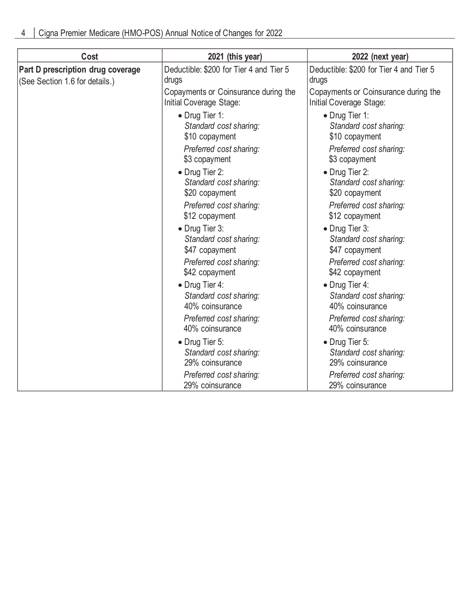| Cost                                                                | 2021 (this year)                                                                      | 2022 (next year)                                                                      |
|---------------------------------------------------------------------|---------------------------------------------------------------------------------------|---------------------------------------------------------------------------------------|
| Part D prescription drug coverage<br>(See Section 1.6 for details.) | Deductible: \$200 for Tier 4 and Tier 5<br>drugs                                      | Deductible: \$200 for Tier 4 and Tier 5<br>drugs                                      |
|                                                                     | Copayments or Coinsurance during the<br>Initial Coverage Stage:                       | Copayments or Coinsurance during the<br>Initial Coverage Stage:                       |
|                                                                     | • Drug Tier 1:<br>Standard cost sharing:<br>\$10 copayment                            | • Drug Tier 1:<br>Standard cost sharing:<br>\$10 copayment                            |
|                                                                     | Preferred cost sharing:<br>\$3 copayment                                              | Preferred cost sharing:<br>\$3 copayment                                              |
|                                                                     | • Drug Tier 2:<br>Standard cost sharing:<br>\$20 copayment                            | • Drug Tier 2:<br>Standard cost sharing:<br>\$20 copayment                            |
|                                                                     | Preferred cost sharing:<br>\$12 copayment                                             | Preferred cost sharing:<br>\$12 copayment                                             |
|                                                                     | • Drug Tier 3:<br>Standard cost sharing:<br>\$47 copayment<br>Preferred cost sharing: | • Drug Tier 3:<br>Standard cost sharing:<br>\$47 copayment<br>Preferred cost sharing: |
|                                                                     | \$42 copayment                                                                        | \$42 copayment                                                                        |
|                                                                     | • Drug Tier 4:<br>Standard cost sharing:<br>40% coinsurance                           | • Drug Tier 4:<br>Standard cost sharing:<br>40% coinsurance                           |
|                                                                     | Preferred cost sharing:<br>40% coinsurance                                            | Preferred cost sharing:<br>40% coinsurance                                            |
|                                                                     | • Drug Tier 5:<br>Standard cost sharing:<br>29% coinsurance                           | • Drug Tier 5:<br>Standard cost sharing:<br>29% coinsurance                           |
|                                                                     | Preferred cost sharing:<br>29% coinsurance                                            | Preferred cost sharing:<br>29% coinsurance                                            |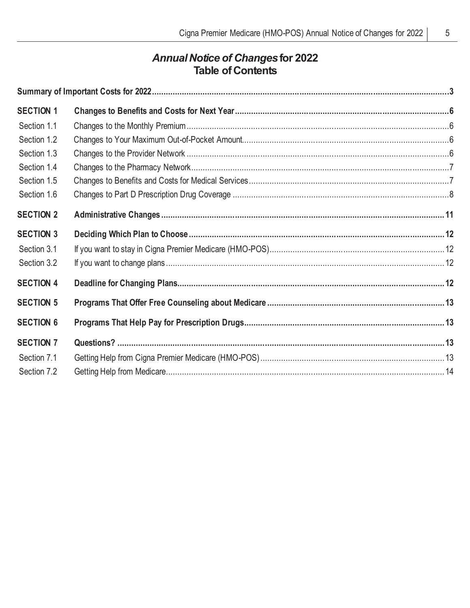# *Annual Notice of Changes***for 2022 Table of Contents**

| <b>SECTION 1</b> |  |
|------------------|--|
| Section 1.1      |  |
| Section 1.2      |  |
| Section 1.3      |  |
| Section 1.4      |  |
| Section 1.5      |  |
| Section 1.6      |  |
| <b>SECTION 2</b> |  |
| <b>SECTION 3</b> |  |
| Section 3.1      |  |
| Section 3.2      |  |
| <b>SECTION 4</b> |  |
| <b>SECTION 5</b> |  |
| <b>SECTION 6</b> |  |
| <b>SECTION 7</b> |  |
| Section 7.1      |  |
| Section 7.2      |  |
|                  |  |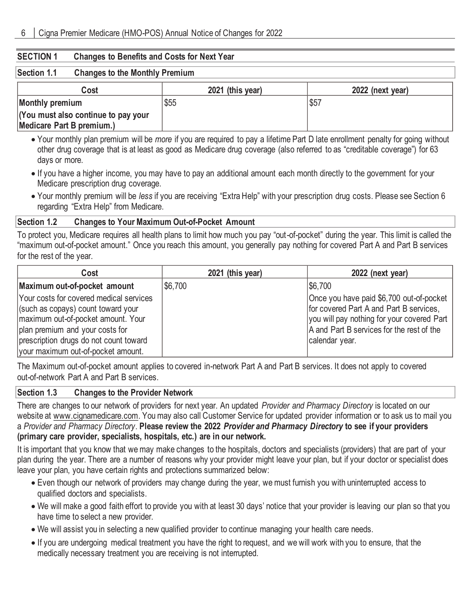#### **SECTION 1 Changes to Benefits and Costs for Next Year**

## **Section 1.1 Changes to the Monthly Premium**

| Cost                                | 2021 (this year) | 2022 (next year) |
|-------------------------------------|------------------|------------------|
| Monthly premium                     | \$55             | \$57             |
| (You must also continue to pay your |                  |                  |
| Medicare Part B premium.)           |                  |                  |

- Your monthly plan premium will be *more* if you are required to pay a lifetime Part D late enrollment penalty for going without other drug coverage that is at least as good as Medicare drug coverage (also referred to as "creditable coverage") for 63 days or more.
- If you have a higher income, you may have to pay an additional amount each month directly to the government for your Medicare prescription drug coverage.
- Your monthly premium will be *less* if you are receiving "Extra Help" with your prescription drug costs. Please see Section 6 regarding "Extra Help" from Medicare.

## **Section 1.2 Changes to Your Maximum Out-of-Pocket Amount**

To protect you, Medicare requires all health plans to limit how much you pay "out-of-pocket" during the year. This limit is called the "maximum out-of-pocket amount." Once you reach this amount, you generally pay nothing for covered Part A and Part B services for the rest of the year.

| Cost                                                                                                                                                                                                                                   | 2021 (this year) | 2022 (next year)                                                                                                                                                                                 |
|----------------------------------------------------------------------------------------------------------------------------------------------------------------------------------------------------------------------------------------|------------------|--------------------------------------------------------------------------------------------------------------------------------------------------------------------------------------------------|
| Maximum out-of-pocket amount                                                                                                                                                                                                           | \$6,700          | \$6,700                                                                                                                                                                                          |
| Your costs for covered medical services<br>(such as copays) count toward your<br>maximum out-of-pocket amount. Your<br>plan premium and your costs for<br>prescription drugs do not count toward<br>your maximum out-of-pocket amount. |                  | Once you have paid \$6,700 out-of-pocket<br>for covered Part A and Part B services.<br>you will pay nothing for your covered Part<br>A and Part B services for the rest of the<br>calendar year. |

The Maximum out-of-pocket amount applies to covered in-network Part A and Part B services. It does not apply to covered out-of-network Part A and Part B services.

## **Section 1.3 Changes to the Provider Network**

There are changes to our network of providers for next year. An updated *Provider and Pharmacy Directory* is located on our website at www.cignamedicare.com. You may also call Customer Service for updated provider information or to ask us to mail you a *Provider and Pharmacy Directory*. **Please review the 2022** *Provider and Pharmacy Directory* **to see if your providers (primary care provider, specialists, hospitals, etc.) are in our network.**

It is important that you know that we may make changes to the hospitals, doctors and specialists (providers) that are part of your plan during the year. There are a number of reasons why your provider might leave your plan, but if your doctor or specialist does leave your plan, you have certain rights and protections summarized below:

- Even though our network of providers may change during the year, we must furnish you with uninterrupted access to qualified doctors and specialists.
- We will make a good faith effort to provide you with at least 30 days' notice that your provider is leaving our plan so that you have time to select a new provider.
- We will assist you in selecting a new qualified provider to continue managing your health care needs.
- If you are undergoing medical treatment you have the right to request, and we will work with you to ensure, that the medically necessary treatment you are receiving is not interrupted.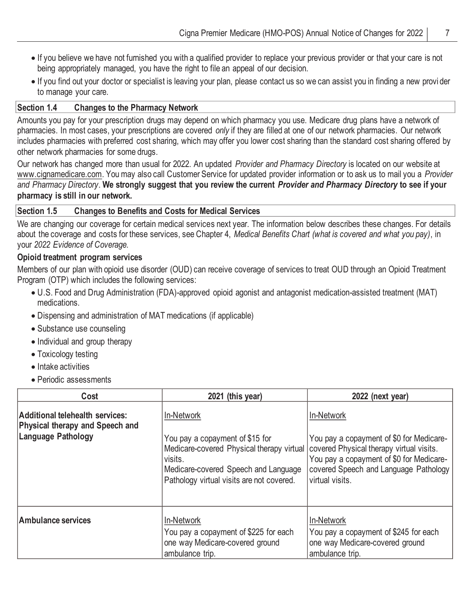- If you believe we have not furnished you with a qualified provider to replace your previous provider or that your care is not being appropriately managed, you have the right to file an appeal of our decision.
- If you find out your doctor or specialist is leaving your plan, please contact us so we can assist you in finding a new provi der to manage your care.

## **Section 1.4 Changes to the Pharmacy Network**

Amounts you pay for your prescription drugs may depend on which pharmacy you use. Medicare drug plans have a network of pharmacies. In most cases, your prescriptions are covered *only* if they are filled at one of our network pharmacies. Our network includes pharmacies with preferred cost sharing, which may offer you lower cost sharing than the standard cost sharing offered by other network pharmacies for some drugs.

Our network has changed more than usual for 2022. An updated *Provider and Pharmacy Directory* is located on our website at www.cignamedicare.com. You may also call Customer Service for updated provider information or to ask us to mail you a *Provider and Pharmacy Directory*. **We strongly suggest that you review the current** *Provider and Pharmacy Directory* **to see if your pharmacy is still in our network.**

## **Section 1.5 Changes to Benefits and Costs for Medical Services**

We are changing our coverage for certain medical services next year. The information below describes these changes. For details about the coverage and costs for these services, see Chapter 4, *Medical Benefits Chart (what is covered and what you pay)*, in your *2022 Evidence of Coverage.*

## **Opioid treatment program services**

Members of our plan with opioid use disorder (OUD) can receive coverage of services to treat OUD through an Opioid Treatment Program (OTP) which includes the following services:

- U.S. Food and Drug Administration (FDA)-approved opioid agonist and antagonist medication-assisted treatment (MAT) medications.
- Dispensing and administration of MAT medications (if applicable)
- Substance use counseling
- Individual and group therapy
- Toxicology testing
- Intake activities
- Periodic assessments

| Cost                                                                                     | 2021 (this year)                                                                                                                                                                           | 2022 (next year)                                                                                                                                                                                           |
|------------------------------------------------------------------------------------------|--------------------------------------------------------------------------------------------------------------------------------------------------------------------------------------------|------------------------------------------------------------------------------------------------------------------------------------------------------------------------------------------------------------|
| Additional telehealth services:<br>Physical therapy and Speech and<br>Language Pathology | In-Network<br>You pay a copayment of \$15 for<br>Medicare-covered Physical therapy virtual<br>visits.<br>Medicare-covered Speech and Language<br>Pathology virtual visits are not covered. | In-Network<br>You pay a copayment of \$0 for Medicare-<br>covered Physical therapy virtual visits.<br>You pay a copayment of \$0 for Medicare-<br>covered Speech and Language Pathology<br>virtual visits. |
| Ambulance services                                                                       | In-Network<br>You pay a copayment of \$225 for each<br>one way Medicare-covered ground<br>ambulance trip.                                                                                  | In-Network<br>You pay a copayment of \$245 for each<br>one way Medicare-covered ground<br>ambulance trip.                                                                                                  |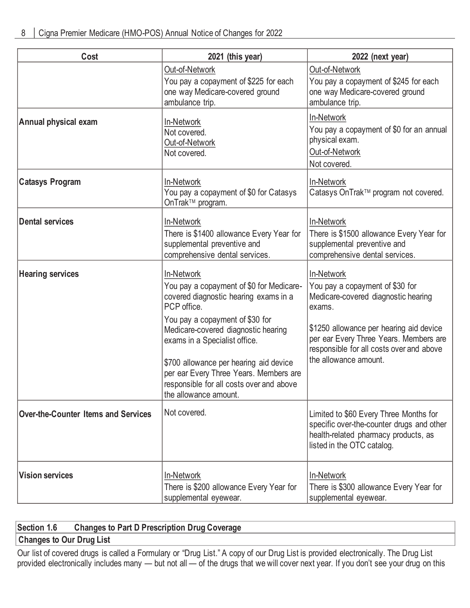| Cost                                       | 2021 (this year)                                                                                                                                                                                                                                                                                                                                                                   | 2022 (next year)                                                                                                                                                                                                                                         |
|--------------------------------------------|------------------------------------------------------------------------------------------------------------------------------------------------------------------------------------------------------------------------------------------------------------------------------------------------------------------------------------------------------------------------------------|----------------------------------------------------------------------------------------------------------------------------------------------------------------------------------------------------------------------------------------------------------|
|                                            | Out-of-Network<br>You pay a copayment of \$225 for each<br>one way Medicare-covered ground<br>ambulance trip.                                                                                                                                                                                                                                                                      | Out-of-Network<br>You pay a copayment of \$245 for each<br>one way Medicare-covered ground<br>ambulance trip.                                                                                                                                            |
| Annual physical exam                       | In-Network<br>Not covered.<br>Out-of-Network<br>Not covered.                                                                                                                                                                                                                                                                                                                       | In-Network<br>You pay a copayment of \$0 for an annual<br>physical exam.<br>Out-of-Network<br>Not covered.                                                                                                                                               |
| <b>Catasys Program</b>                     | In-Network<br>You pay a copayment of \$0 for Catasys<br>OnTrak™ program.                                                                                                                                                                                                                                                                                                           | In-Network<br>Catasys OnTrak™ program not covered.                                                                                                                                                                                                       |
| <b>Dental services</b>                     | In-Network<br>There is \$1400 allowance Every Year for<br>supplemental preventive and<br>comprehensive dental services.                                                                                                                                                                                                                                                            | In-Network<br>There is \$1500 allowance Every Year for<br>supplemental preventive and<br>comprehensive dental services.                                                                                                                                  |
| <b>Hearing services</b>                    | In-Network<br>You pay a copayment of \$0 for Medicare-<br>covered diagnostic hearing exams in a<br>PCP office.<br>You pay a copayment of \$30 for<br>Medicare-covered diagnostic hearing<br>exams in a Specialist office.<br>\$700 allowance per hearing aid device<br>per ear Every Three Years. Members are<br>responsible for all costs over and above<br>the allowance amount. | In-Network<br>You pay a copayment of \$30 for<br>Medicare-covered diagnostic hearing<br>exams.<br>\$1250 allowance per hearing aid device<br>per ear Every Three Years. Members are<br>responsible for all costs over and above<br>the allowance amount. |
| <b>Over-the-Counter Items and Services</b> | Not covered.                                                                                                                                                                                                                                                                                                                                                                       | Limited to \$60 Every Three Months for<br>specific over-the-counter drugs and other<br>health-related pharmacy products, as<br>listed in the OTC catalog.                                                                                                |
| <b>Vision services</b>                     | In-Network<br>There is \$200 allowance Every Year for<br>supplemental eyewear.                                                                                                                                                                                                                                                                                                     | In-Network<br>There is \$300 allowance Every Year for<br>supplemental eyewear.                                                                                                                                                                           |

# **Section 1.6 Changes to Part D Prescription Drug Coverage Changes to Our Drug List**

Our list of covered drugs is called a Formulary or "Drug List." A copy of our Drug List is provided electronically. The Drug List provided electronically includes many — but not all — of the drugs that we will cover next year. If you don't see your drug on this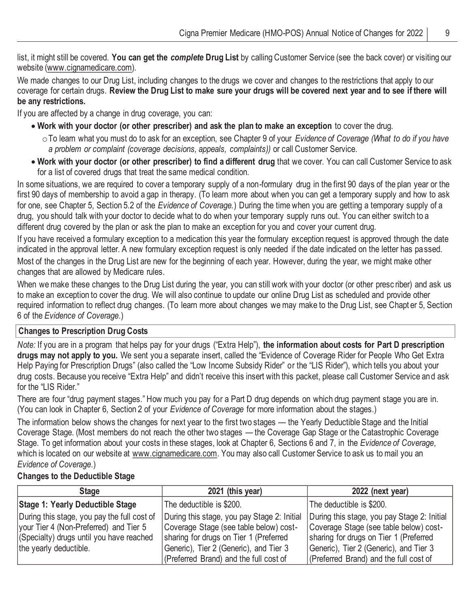list, it might still be covered. **You can get the** *complete* **Drug List** by calling Customer Service (see the back cover) or visiting our website (www.cignamedicare.com).

We made changes to our Drug List, including changes to the drugs we cover and changes to the restrictions that apply to our coverage for certain drugs. **Review the Drug List to make sure your drugs will be covered next year and to see if there will be any restrictions.**

If you are affected by a change in drug coverage, you can:

- **Work with your doctor (or other prescriber) and ask the plan to make an exception** to cover the drug.
	- oTo learn what you must do to ask for an exception, see Chapter 9 of your *Evidence of Coverage (What to do if you have a problem or complaint (coverage decisions, appeals, complaints))* or call Customer Service.
- **Work with your doctor (or other prescriber) to find a different drug** that we cover. You can call Customer Service to ask for a list of covered drugs that treat the same medical condition.

In some situations, we are required to cover a temporary supply of a non-formulary drug in the first 90 days of the plan year or the first 90 days of membership to avoid a gap in therapy. (To learn more about when you can get a temporary supply and how to ask for one, see Chapter 5, Section 5.2 of the *Evidence of Coverage.*) During the time when you are getting a temporary supply of a drug, you should talk with your doctor to decide what to do when your temporary supply runs out. You can either switch to a different drug covered by the plan or ask the plan to make an exception for you and cover your current drug.

If you have received a formulary exception to a medication this year the formulary exception request is approved through the date indicated in the approval letter. A new formulary exception request is only needed if the date indicated on the letter has passed. Most of the changes in the Drug List are new for the beginning of each year. However, during the year, we might make other changes that are allowed by Medicare rules.

When we make these changes to the Drug List during the year, you can still work with your doctor (or other presc riber) and ask us to make an exception to cover the drug. We will also continue to update our online Drug List as scheduled and provide other required information to reflect drug changes. (To learn more about changes we may make to the Drug List, see Chapt er 5, Section 6 of the *Evidence of Coverage*.)

## **Changes to Prescription Drug Costs**

*Note:* If you are in a program that helps pay for your drugs ("Extra Help"), **the information about costs for Part D prescription drugs may not apply to you.** We sent you a separate insert, called the "Evidence of Coverage Rider for People Who Get Extra Help Paying for Prescription Drugs" (also called the "Low Income Subsidy Rider" or the "LIS Rider"), which tells you about your drug costs. Because you receive "Extra Help" and didn't receive this insert with this packet, please call Customer Service and ask for the "LIS Rider."

There are four "drug payment stages." How much you pay for a Part D drug depends on which drug payment stage you are in. (You can look in Chapter 6, Section 2 of your *Evidence of Coverage* for more information about the stages.)

The information below shows the changes for next year to the first two stages — the Yearly Deductible Stage and the Initial Coverage Stage. (Most members do not reach the other two stages — the Coverage Gap Stage or the Catastrophic Coverage Stage. To get information about your costs in these stages, look at Chapter 6, Sections 6 and 7, in the *Evidence of Coverage*, which is located on our website at www.cignamedicare.com. You may also call Customer Service to ask us to mail you an *Evidence of Coverage*.)

## **Changes to the Deductible Stage**

| <b>Stage</b>                                                                                                                                                | 2021 (this year)                                                                                                                                                                                                    | 2022 (next year)                                                                                                                                                                                                    |
|-------------------------------------------------------------------------------------------------------------------------------------------------------------|---------------------------------------------------------------------------------------------------------------------------------------------------------------------------------------------------------------------|---------------------------------------------------------------------------------------------------------------------------------------------------------------------------------------------------------------------|
| Stage 1: Yearly Deductible Stage                                                                                                                            | The deductible is \$200.                                                                                                                                                                                            | The deductible is \$200.                                                                                                                                                                                            |
| During this stage, you pay the full cost of<br>your Tier 4 (Non-Preferred) and Tier 5<br>(Specialty) drugs until you have reached<br>the yearly deductible. | During this stage, you pay Stage 2: Initial<br>Coverage Stage (see table below) cost-<br>sharing for drugs on Tier 1 (Preferred<br>Generic), Tier 2 (Generic), and Tier 3<br>(Preferred Brand) and the full cost of | During this stage, you pay Stage 2: Initial<br>Coverage Stage (see table below) cost-<br>sharing for drugs on Tier 1 (Preferred<br>Generic), Tier 2 (Generic), and Tier 3<br>(Preferred Brand) and the full cost of |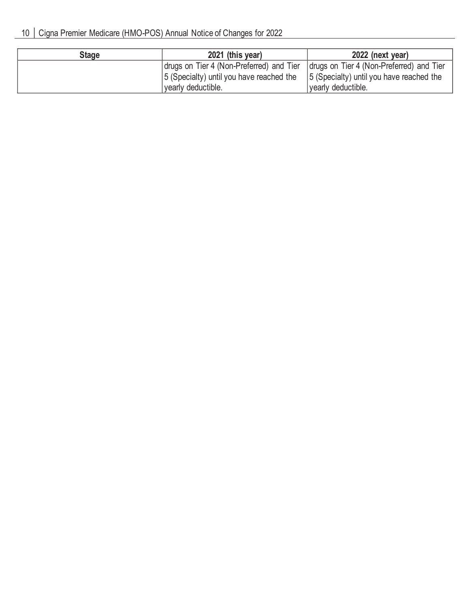| Stage | 2021 (this year)                                                                    | 2022 (next year)                          |
|-------|-------------------------------------------------------------------------------------|-------------------------------------------|
|       | drugs on Tier 4 (Non-Preferred) and Tier   drugs on Tier 4 (Non-Preferred) and Tier |                                           |
|       | 15 (Specialty) until you have reached the                                           | [5 (Specialty) until you have reached the |
|       | vearly deductible.                                                                  | vearly deductible.                        |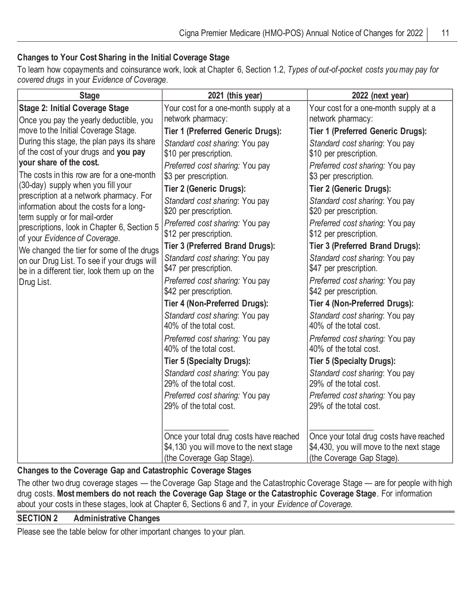## **Changes to Your Cost Sharing in the Initial Coverage Stage**

To learn how copayments and coinsurance work, look at Chapter 6, Section 1.2, *Types of out-of-pocket costs you may pay for covered drugs* in your *Evidence of Coverage*.

| <b>Stage</b>                                                                       | 2021 (this year)                         | 2022 (next year)                         |
|------------------------------------------------------------------------------------|------------------------------------------|------------------------------------------|
| <b>Stage 2: Initial Coverage Stage</b>                                             | Your cost for a one-month supply at a    | Your cost for a one-month supply at a    |
| Once you pay the yearly deductible, you                                            | network pharmacy:                        | network pharmacy:                        |
| move to the Initial Coverage Stage.                                                | <b>Tier 1 (Preferred Generic Drugs):</b> | Tier 1 (Preferred Generic Drugs):        |
| During this stage, the plan pays its share                                         | Standard cost sharing: You pay           | Standard cost sharing: You pay           |
| of the cost of your drugs and you pay                                              | \$10 per prescription.                   | \$10 per prescription.                   |
| your share of the cost.                                                            | Preferred cost sharing: You pay          | Preferred cost sharing: You pay          |
| The costs in this row are for a one-month                                          | \$3 per prescription.                    | \$3 per prescription.                    |
| (30-day) supply when you fill your                                                 | Tier 2 (Generic Drugs):                  | Tier 2 (Generic Drugs):                  |
| prescription at a network pharmacy. For<br>information about the costs for a long- | Standard cost sharing: You pay           | Standard cost sharing: You pay           |
| term supply or for mail-order                                                      | \$20 per prescription.                   | \$20 per prescription.                   |
| prescriptions, look in Chapter 6, Section 5                                        | Preferred cost sharing: You pay          | Preferred cost sharing: You pay          |
| of your Evidence of Coverage.                                                      | \$12 per prescription.                   | \$12 per prescription.                   |
| We changed the tier for some of the drugs                                          | Tier 3 (Preferred Brand Drugs):          | Tier 3 (Preferred Brand Drugs):          |
| on our Drug List. To see if your drugs will                                        | Standard cost sharing: You pay           | Standard cost sharing: You pay           |
| be in a different tier, look them up on the                                        | \$47 per prescription.                   | \$47 per prescription.                   |
| Drug List.                                                                         | Preferred cost sharing: You pay          | Preferred cost sharing: You pay          |
|                                                                                    | \$42 per prescription.                   | \$42 per prescription.                   |
|                                                                                    | Tier 4 (Non-Preferred Drugs):            | Tier 4 (Non-Preferred Drugs):            |
|                                                                                    | Standard cost sharing: You pay           | Standard cost sharing: You pay           |
|                                                                                    | 40% of the total cost.                   | 40% of the total cost.                   |
|                                                                                    | Preferred cost sharing: You pay          | Preferred cost sharing: You pay          |
|                                                                                    | 40% of the total cost.                   | 40% of the total cost.                   |
|                                                                                    | <b>Tier 5 (Specialty Drugs):</b>         | <b>Tier 5 (Specialty Drugs):</b>         |
|                                                                                    | Standard cost sharing: You pay           | Standard cost sharing: You pay           |
|                                                                                    | 29% of the total cost.                   | 29% of the total cost.                   |
|                                                                                    | Preferred cost sharing: You pay          | Preferred cost sharing: You pay          |
|                                                                                    | 29% of the total cost.                   | 29% of the total cost.                   |
|                                                                                    |                                          |                                          |
|                                                                                    | Once your total drug costs have reached  | Once your total drug costs have reached  |
|                                                                                    | \$4,130 you will move to the next stage  | \$4,430, you will move to the next stage |
|                                                                                    | (the Coverage Gap Stage).                | (the Coverage Gap Stage).                |

## **Changes to the Coverage Gap and Catastrophic Coverage Stages**

The other two drug coverage stages — the Coverage Gap Stage and the Catastrophic Coverage Stage — are for people with high drug costs. **Most members do not reach the Coverage Gap Stage or the Catastrophic Coverage Stage**. For information about your costs in these stages, look at Chapter 6, Sections 6 and 7, in your *Evidence of Coverage.*

## **SECTION 2 Administrative Changes**

Please see the table below for other important changes to your plan.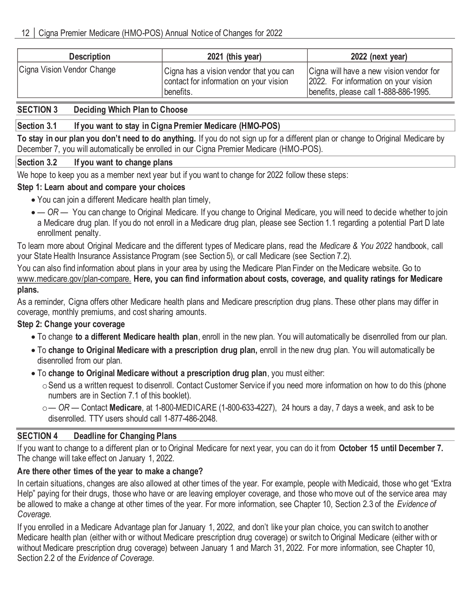| <b>Description</b>         | 2021 (this year)                                                                              | 2022 (next year)                                                                                                         |
|----------------------------|-----------------------------------------------------------------------------------------------|--------------------------------------------------------------------------------------------------------------------------|
| Cigna Vision Vendor Change | Cigna has a vision vendor that you can<br>contact for information on your vision<br>benefits. | Cigna will have a new vision vendor for<br>2022. For information on your vision<br>benefits, please call 1-888-886-1995. |

## **SECTION 3 Deciding Which Plan to Choose**

## **Section 3.1 If you want to stay in Cigna Premier Medicare (HMO-POS)**

**To stay in our plan you don't need to do anything.** If you do not sign up for a different plan or change to Original Medicare by December 7, you will automatically be enrolled in our Cigna Premier Medicare (HMO-POS).

## **Section 3.2 If you want to change plans**

We hope to keep you as a member next year but if you want to change for 2022 follow these steps:

## **Step 1: Learn about and compare your choices**

- You can join a different Medicare health plan timely,
- — OR You can change to Original Medicare. If you change to Original Medicare, you will need to decide whether to join a Medicare drug plan. If you do not enroll in a Medicare drug plan, please see Section 1.1 regarding a potential Part D late enrollment penalty.

To learn more about Original Medicare and the different types of Medicare plans, read the *Medicare & You 2022* handbook, call your State Health Insurance Assistance Program (see Section 5), or call Medicare (see Section 7.2).

You can also find information about plans in your area by using the Medicare Plan Finder on the Medicare website. Go to www.medicare.gov/plan-compare. **Here, you can find information about costs, coverage, and quality ratings for Medicare plans.**

As a reminder, Cigna offers other Medicare health plans and Medicare prescription drug plans. These other plans may differ in coverage, monthly premiums, and cost sharing amounts.

## **Step 2: Change your coverage**

- To change **to a different Medicare health plan**, enroll in the new plan. You will automatically be disenrolled from our plan.
- To **change to Original Medicare with a prescription drug plan,** enroll in the new drug plan. You will automatically be disenrolled from our plan.
- To **change to Original Medicare without a prescription drug plan**, you must either:
	- oSend us a written request to disenroll. Contact Customer Service if you need more information on how to do this (phone numbers are in Section 7.1 of this booklet).
	- o*— OR —* Contact **Medicare**, at 1-800-MEDICARE (1-800-633-4227), 24 hours a day, 7 days a week, and ask to be disenrolled. TTY users should call 1-877-486-2048.

## **SECTION 4 Deadline for Changing Plans**

If you want to change to a different plan or to Original Medicare for next year, you can do it from **October 15 until December 7.**  The change will take effect on January 1, 2022.

## **Are there other times of the year to make a change?**

In certain situations, changes are also allowed at other times of the year. For example, people with Medicaid, those who get "Extra Help" paying for their drugs, those who have or are leaving employer coverage, and those who move out of the service area may be allowed to make a change at other times of the year. For more information, see Chapter 10, Section 2.3 of the *Evidence of Coverage.*

If you enrolled in a Medicare Advantage plan for January 1, 2022, and don't like your plan choice, you can switch to another Medicare health plan (either with or without Medicare prescription drug coverage) or switch to Original Medicare (either with or without Medicare prescription drug coverage) between January 1 and March 31, 2022. For more information, see Chapter 10, Section 2.2 of the *Evidence of Coverage*.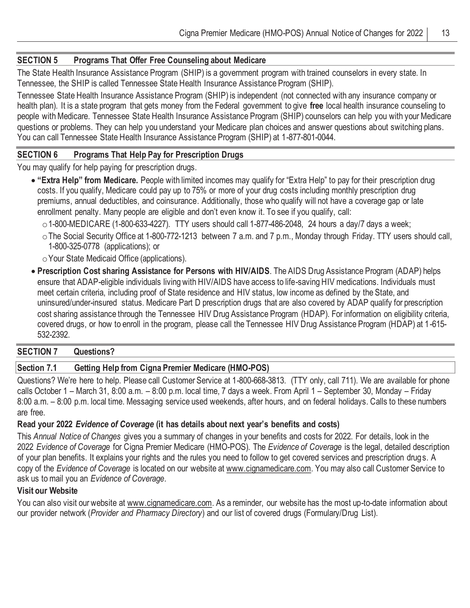## **SECTION 5 Programs That Offer Free Counseling about Medicare**

The State Health Insurance Assistance Program (SHIP) is a government program with trained counselors in every state. In Tennessee, the SHIP is called Tennessee State Health Insurance Assistance Program (SHIP).

Tennessee State Health Insurance Assistance Program (SHIP) is independent (not connected with any insurance company or health plan). It is a state program that gets money from the Federal government to give **free** local health insurance counseling to people with Medicare. Tennessee State Health Insurance Assistance Program (SHIP) counselors can help you with your Medicare questions or problems. They can help you understand your Medicare plan choices and answer questions about switching plans. You can call Tennessee State Health Insurance Assistance Program (SHIP) at 1-877-801-0044.

## **SECTION 6 Programs That Help Pay for Prescription Drugs**

You may qualify for help paying for prescription drugs.

- **"Extra Help" from Medicare.** People with limited incomes may qualify for "Extra Help" to pay for their prescription drug costs. If you qualify, Medicare could pay up to 75% or more of your drug costs including monthly prescription drug premiums, annual deductibles, and coinsurance. Additionally, those who qualify will not have a coverage gap or late enrollment penalty. Many people are eligible and don't even know it. To see if you qualify, call:
	- $\circ$  1-800-MEDICARE (1-800-633-4227). TTY users should call 1-877-486-2048, 24 hours a day/7 days a week;
	- oThe Social Security Office at 1-800-772-1213 between 7 a.m. and 7 p.m., Monday through Friday. TTY users should call, 1-800-325-0778 (applications); or
	- oYour State Medicaid Office (applications).
- **Prescription Cost sharing Assistance for Persons with HIV/AIDS**. The AIDS Drug Assistance Program (ADAP) helps ensure that ADAP-eligible individuals living with HIV/AIDS have access to life-saving HIV medications. Individuals must meet certain criteria, including proof of State residence and HIV status, low income as defined by the State, and uninsured/under-insured status. Medicare Part D prescription drugs that are also covered by ADAP qualify for prescription cost sharing assistance through the Tennessee HIV Drug Assistance Program (HDAP). For information on eligibility criteria, covered drugs, or how to enroll in the program, please call the Tennessee HIV Drug Assistance Program (HDAP) at 1-615- 532-2392.

## **SECTION 7 Questions?**

## **Section 7.1 Getting Help from Cigna Premier Medicare (HMO-POS)**

Questions? We're here to help. Please call Customer Service at 1-800-668-3813. (TTY only, call 711). We are available for phone calls October 1 – March 31, 8:00 a.m. – 8:00 p.m. local time, 7 days a week. From April 1 – September 30, Monday – Friday 8:00 a.m. – 8:00 p.m. local time. Messaging service used weekends, after hours, and on federal holidays. Calls to these numbers are free.

## **Read your 2022** *Evidence of Coverage* **(it has details about next year's benefits and costs)**

This *Annual Notice of Changes* gives you a summary of changes in your benefits and costs for 2022. For details, look in the 2022 *Evidence of Coverage* for Cigna Premier Medicare (HMO-POS)*.* The *Evidence of Coverage* is the legal, detailed description of your plan benefits. It explains your rights and the rules you need to follow to get covered services and prescription drugs. A copy of the *Evidence of Coverage* is located on our website at www.cignamedicare.com. You may also call Customer Service to ask us to mail you an *Evidence of Coverage*.

## **Visit our Website**

You can also visit our website at www.cignamedicare.com. As a reminder, our website has the most up-to-date information about our provider network (*Provider and Pharmacy Directory*) and our list of covered drugs (Formulary/Drug List).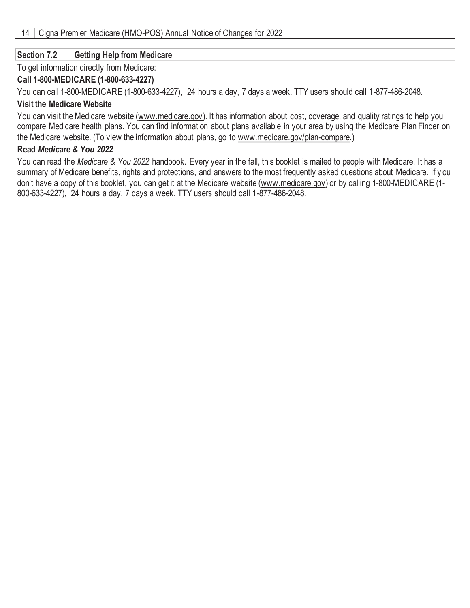## **Section 7.2 Getting Help from Medicare**

To get information directly from Medicare:

## **Call 1-800-MEDICARE (1-800-633-4227)**

You can call 1-800-MEDICARE (1-800-633-4227), 24 hours a day, 7 days a week. TTY users should call 1-877-486-2048.

## **Visit the Medicare Website**

You can visit the Medicare website (www.medicare.gov). It has information about cost, coverage, and quality ratings to help you compare Medicare health plans. You can find information about plans available in your area by using the Medicare Plan Finder on the Medicare website. (To view the information about plans, go to www.medicare.gov/plan-compare.)

## **Read** *Medicare & You 2022*

You can read the *Medicare & You 2022* handbook. Every year in the fall, this booklet is mailed to people with Medicare. It has a summary of Medicare benefits, rights and protections, and answers to the most frequently asked questions about Medicare. If y ou don't have a copy of this booklet, you can get it at the Medicare website (www.medicare.gov) or by calling 1-800-MEDICARE (1- 800-633-4227), 24 hours a day, 7 days a week. TTY users should call 1-877-486-2048.